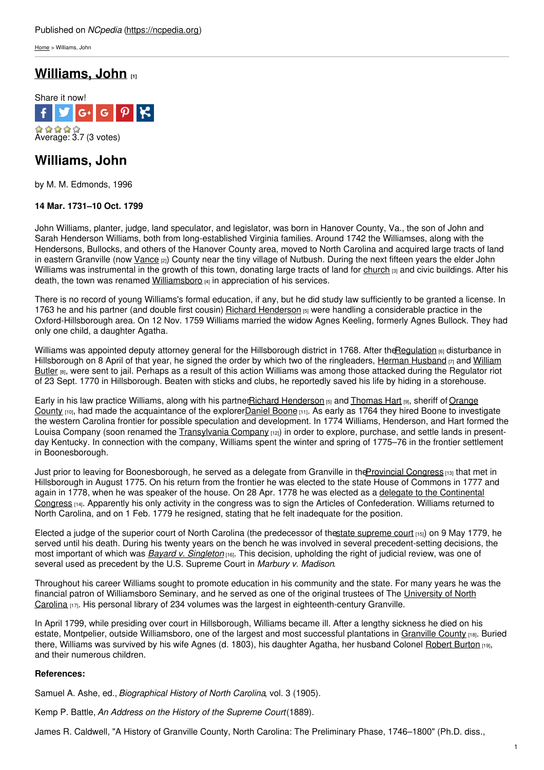[Home](https://ncpedia.org/) > Williams, John

## **[Williams,](https://ncpedia.org/biography/williams-john) John [1]**



# **Williams, John**

by M. M. Edmonds, 1996

### **14 Mar. 1731–10 Oct. 1799**

John Williams, planter, judge, land speculator, and legislator, was born in Hanover County, Va., the son of John and Sarah Henderson Williams, both from [long-established](http://www.social9.com) Virginia families. Around 1742 the Williamses, along with the Hendersons, Bullocks, and others of the Hanover County area, moved to North Carolina and acquired large tracts of land in eastern Granville (now [Vance](https://ncpedia.org/geography/vance) [2]) County near the tiny village of Nutbush. During the next fifteen years the elder John Williams was instrumental in the growth of this town, donating large tracts of land for [church](https://ncpedia.org/st-johns-church)  $_{[3]}$  and civic buildings. After his death, the town was renamed [Williamsboro](https://www.ncdcr.gov/about/history/division-historical-resources/nc-highway-historical-marker-program/Markers.aspx?sp=Markers&sv=G-20)  $[4]$  in appreciation of his services.

There is no record of young Williams's formal education, if any, but he did study law sufficiently to be granted a license. In 1763 he and his partner (and double first cousin) Richard [Henderson](https://ncpedia.org/biography/henderson-richard) [5] were handling a considerable practice in the Oxford-Hillsborough area. On 12 Nov. 1759 Williams married the widow Agnes Keeling, formerly Agnes Bullock. They had only one child, a daughter Agatha.

Williams was appointed deputy attorney general for the Hillsborough district in 1768. After the Regulation [6] disturbance in [Hillsborough](https://ncpedia.org/biography/butler-william) on 8 April of that year, he signed the order by which two of the ringleaders, Herman [Husband](https://ncpedia.org/biography/husband-or-husbands)  $\eta$  and William Butler [8], were sent to jail. Perhaps as a result of this action Williams was among those attacked during the Regulator riot of 23 Sept. 1770 in Hillsborough. Beaten with sticks and clubs, he reportedly saved his life by hiding in a storehouse.

Early in his law practice Williams, along with his [partnerRichard](https://ncpedia.org/geography/orange) [Henderson](https://ncpedia.org/biography/henderson-richard) [5] and [Thomas](https://ncpedia.org/biography/hart-thomas) Hart [9], sheriff of Orange County  $[10]$ , had made the acquaintance of the explorer Daniel [Boone](https://ncpedia.org/biography/boone-daniel)  $[11]$ . As early as 1764 they hired Boone to investigate the western Carolina frontier for possible speculation and development. In 1774 Williams, Henderson, and Hart formed the Louisa Company (soon renamed the [Transylvania](https://ncpedia.org/transylvania-company) Company [12]) in order to explore, purchase, and settle lands in presentday Kentucky. In connection with the company, Williams spent the winter and spring of 1775–76 in the frontier settlement in Boonesborough.

Just prior to leaving for Boonesborough, he served as a delegate from Granville in the Provincial Congress [13] that met in Hillsborough in August 1775. On his return from the frontier he was elected to the state House of Commons in 1777 and again in 1778, when he was speaker of the house. On 28 Apr. 1778 he was elected as a delegate to the Continental Congress <sub>[14]</sub>. Apparently his only activity in the congress was to sign the Articles of [Confederation.](https://ncpedia.org/history/usrevolution/continental-congress) Williams returned to North Carolina, and on 1 Feb. 1779 he resigned, stating that he felt inadequate for the position.

Elected a judge of the superior court of North Carolina (the predecessor of thestate [supreme](https://ncpedia.org/supreme-court-north-carolina) court [15]) on 9 May 1779, he served until his death. During his twenty years on the bench he was involved in several precedent-setting decisions, the most important of which was *Bayard v. [Singleton](https://ncpedia.org/bayard-v-singleton)* [16]. This decision, upholding the right of judicial review, was one of several used as precedent by the U.S. Supreme Court in *Marbury v. Madison*.

Throughout his career Williams sought to promote education in his community and the state. For many years he was the financial patron of Williamsboro Seminary, and he served as one of the original trustees of The University of North Carolina [17]. His personal library of 234 volumes was the largest in [eighteenth-century](https://ncpedia.org/university-north-carolina-chapel-hi) Granville.

In April 1799, while presiding over court in Hillsborough, Williams became ill. After a lengthy sickness he died on his estate, Montpelier, outside Williamsboro, one of the largest and most successful plantations in [Granville](https://ncpedia.org/geography/granville) County [18]. Buried there, Williams was survived by his wife Agnes (d. 1803), his daughter Agatha, her husband Colonel [Robert](https://ncpedia.org/biography/burton-robert) Burton [19], and their numerous children.

### **References:**

Samuel A. Ashe, ed., *Biographical History of North Carolina*, vol. 3 (1905).

Kemp P. Battle, *An Address on the History of the Supreme Court*(1889).

James R. Caldwell, "A History of Granville County, North Carolina: The Preliminary Phase, 1746–1800" (Ph.D. diss.,